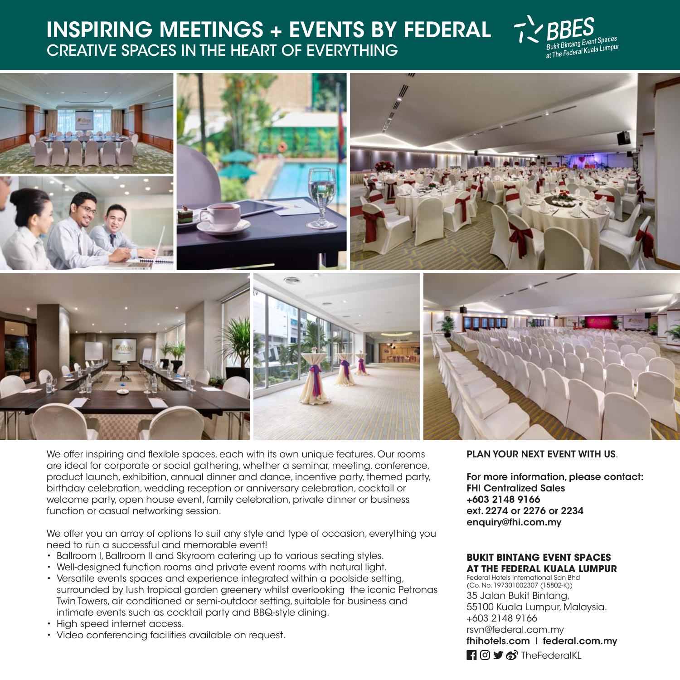## **INSPIRING MEETINGS + EVENTS BY FEDERAL** CREATIVE SPACES IN THE HEART OF EVERYTHING





We offer inspiring and flexible spaces, each with its own unique features. Our rooms are ideal for corporate or social gathering, whether a seminar, meeting, conference, product launch, exhibition, annual dinner and dance, incentive party, themed party, birthday celebration, wedding reception or anniversary celebration, cocktail or welcome party, open house event, family celebration, private dinner or business function or casual networking session.

We offer you an array of options to suit any style and type of occasion, everything you need to run a successful and memorable event!

- Ballroom I, Ballroom II and Skyroom catering up to various seating styles.
- Well-designed function rooms and private event rooms with natural light.
- Versatile events spaces and experience integrated within a poolside setting, surrounded by lush tropical garden greenery whilst overlooking the iconic Petronas Twin Towers, air conditioned or semi-outdoor setting, suitable for business and intimate events such as cocktail party and BBQ-style dining.
- High speed internet access.
- Video conferencing facilities available on request.

### **PLAN YOUR NEXT EVENT WITH US**.

**For more information, please contact: FHI Centralized Sales +603 2148 9166 ext. 2274 or 2276 or 2234 enquiry@fhi.com.my** 

#### **BUKIT BINTANG EVENT SPACES AT THE FEDERAL KUALA LUMPUR**

Federal Hotels International Sdn Bhd (Co. No. 197301002307 (15802-K)) 35 Jalan Bukit Bintang, 55100 Kuala Lumpur, Malaysia. +603 2148 9166 rsvn@federal.com.my **fhihotels.com** l **federal.com.my Ti** o **y** o<sup>3</sup> The Federal KL